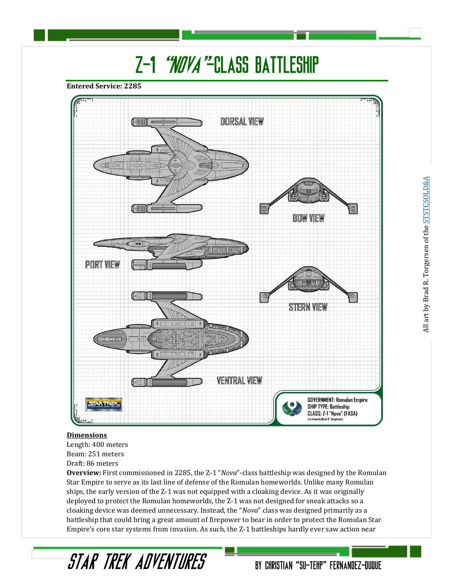# Z-1 "NOVA"-CLASS BATTLESHIP

**Entered Service: 2285**



#### **Dimensions**

Length: 400 meters Beam: 251 meters Draft: 86 meters

STAR TREK ADVENTURES

**Overview:** First commissioned in 2285, the Z-1 "*Nova*"-class battleship was designed by the Romulan Star Empire to serve as its last line of defense of the Romulan homeworlds. Unlike many Romulan ships, the early version of the Z-1 was not equipped with a cloaking device. As it was originally deployed to protect the Romulan homeworlds, the Z-1 was not designed for sneak attacks so a cloaking device was deemed unnecessary. Instead, the "*Nova*" class was designed primarily as a battleship that could bring a great amount of firepower to bear in order to protect the Romulan Star Empire's core star systems from invasion. As such, the Z-1 battleships hardly ever saw action near

BY CHRISTIAN "SU-TEHP" FERNANDEZ-DUQUE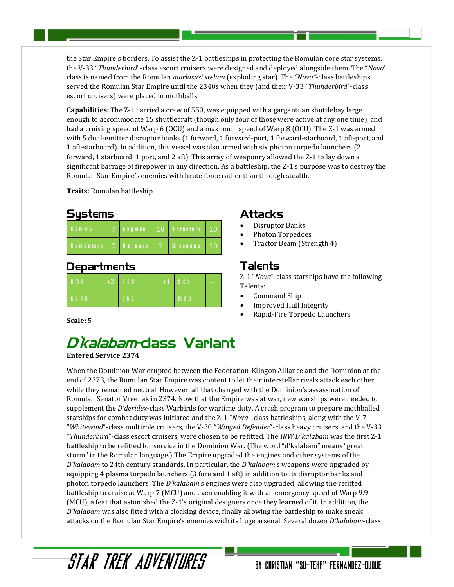the Star Empire's borders. To assist the Z-1 battleships in protecting the Romulan core star systems, the V-33 "*Thunderbird*"-class escort cruisers were designed and deployed alongside them. The "*Nova*" class is named from the Romulan *morlasasi stelam* (exploding star). The *"Nova"*-class battleships served the Romulan Star Empire until the 2340s when they (and their V-33 *"Thunderbird"*-class escort cruisers) were placed in mothballs.

**Capabilities:** The Z-1 carried a crew of 550, was equipped with a gargantuan shuttlebay large enough to accommodate 15 shuttlecraft (though only four of those were active at any one time), and had a cruising speed of Warp 6 (OCU) and a maximum speed of Warp 8 (OCU). The Z-1 was armed with 5 dual-emitter disruptor banks (1 forward, 1 forward-port, 1 forward-starboard, 1 aft-port, and 1 aft-starboard). In addition, this vessel was also armed with six photon torpedo launchers (2 forward, 1 starboard, 1 port, and 2 aft). This array of weaponry allowed the Z-1 to lay down a significant barrage of firepower in any direction. As a battleship, the Z-1's purpose was to destroy the Romulan Star Empire's enemies with brute force rather than through stealth.

**Traits:** Romulan battleship

#### Sustems

| $C_0$ m m s      | <b>Engines</b> | $10$ <b>B</b> tructure $10$ |             |
|------------------|----------------|-----------------------------|-------------|
| <b>Computers</b> | <b>Sensors</b> | W eapons                    | <b>4107</b> |

## **Departments**

| $C \cap D$ |            | $+2$   SEC |            | $+1$   5 C I | $\sim$ |
|------------|------------|------------|------------|--------------|--------|
| $C$ on $R$ | $\omega$ . | ENG        | $\sim$ $-$ | <b>men</b>   | $-1$   |

# Attacks

- Disruptor Banks
- Photon Torpedoes
- Tractor Beam (Strength 4)

### Talents

Z-1 "*Nova*"-class starships have the following Talents:

- Command Ship
- Improved Hull Integrity
- Rapid-Fire Torpedo Launchers

#### **Scale:** 5

# D'kalabam-class Variant

**Entered Service 2374**

When the Dominion War erupted between the Federation-Klingon Alliance and the Dominion at the end of 2373, the Romulan Star Empire was content to let their interstellar rivals attack each other while they remained neutral. However, all that changed with the Dominion's assassination of Romulan Senator Vreenak in 2374. Now that the Empire was at war, new warships were needed to supplement the *D'deridex*-class Warbirds for wartime duty. A crash program to prepare mothballed starships for combat duty was initiated and the Z-1 "*Nova*"-class battleships, along with the V-7 "*Whitewind*"-class multirole cruisers, the V-30 "*Winged Defender*"-class heavy cruisers, and the V-33 "*Thunderbird*"-class escort cruisers, were chosen to be refitted. The *IRW D'kalabam* was the first Z-1 battleship to be refitted for service in the Dominion War. (The word "d'kalabam" means "great storm" in the Romulan language.) The Empire upgraded the engines and other systems of the *D'kalabam* to 24th century standards. In particular, the *D'kalabam*'s weapons were upgraded by equipping 4 plasma torpedo launchers (3 fore and 1 aft) in addition to its disruptor banks and photon torpedo launchers. The *D'kalabam*'s engines were also upgraded, allowing the refitted battleship to cruise at Warp 7 (MCU) and even enabling it with an emergency speed of Warp 9.9 (MCU), a feat that astonished the Z-1's original designers once they learned of it. In addition, the *D'kalabam* was also fitted with a cloaking device, finally allowing the battleship to make sneak attacks on the Romulan Star Empire's enemies with its huge arsenal. Several dozen *D'kalabam*-class

# STAR TREK ADVENTURES

## BY CHRISTIAN "SU-TEHP" FERNANDEZ-DUQUE